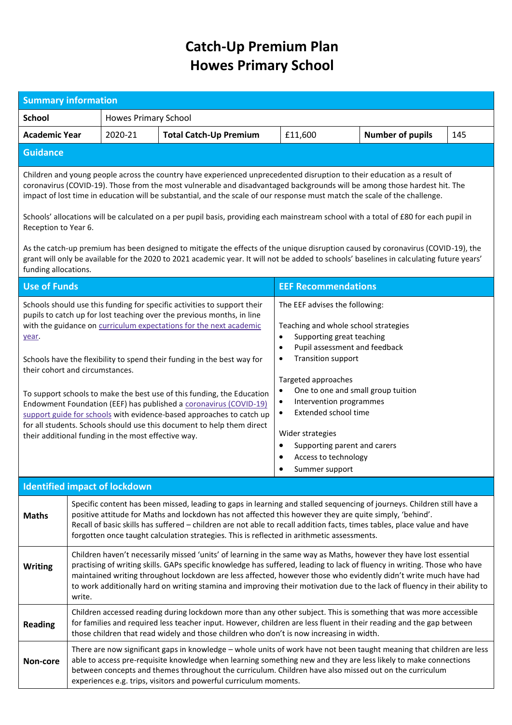## **Catch-Up Premium Plan Howes Primary School**

| <b>Summary information</b>                                                                                                                                                                                                                                                                                                                                                          |                                                                                                                                                                                                                                                                                                                                                                                                                                                                                                             |                                                     |                                                                                                                                                                                                                                                                                                                                                                                                                                                                                                                                                                                                      |                                                                                                                                                                                                                                                                                                                                                                                                                                                            |                         |     |  |  |
|-------------------------------------------------------------------------------------------------------------------------------------------------------------------------------------------------------------------------------------------------------------------------------------------------------------------------------------------------------------------------------------|-------------------------------------------------------------------------------------------------------------------------------------------------------------------------------------------------------------------------------------------------------------------------------------------------------------------------------------------------------------------------------------------------------------------------------------------------------------------------------------------------------------|-----------------------------------------------------|------------------------------------------------------------------------------------------------------------------------------------------------------------------------------------------------------------------------------------------------------------------------------------------------------------------------------------------------------------------------------------------------------------------------------------------------------------------------------------------------------------------------------------------------------------------------------------------------------|------------------------------------------------------------------------------------------------------------------------------------------------------------------------------------------------------------------------------------------------------------------------------------------------------------------------------------------------------------------------------------------------------------------------------------------------------------|-------------------------|-----|--|--|
| <b>School</b>                                                                                                                                                                                                                                                                                                                                                                       |                                                                                                                                                                                                                                                                                                                                                                                                                                                                                                             |                                                     | <b>Howes Primary School</b>                                                                                                                                                                                                                                                                                                                                                                                                                                                                                                                                                                          |                                                                                                                                                                                                                                                                                                                                                                                                                                                            |                         |     |  |  |
| <b>Academic Year</b>                                                                                                                                                                                                                                                                                                                                                                |                                                                                                                                                                                                                                                                                                                                                                                                                                                                                                             | 2020-21                                             | <b>Total Catch-Up Premium</b>                                                                                                                                                                                                                                                                                                                                                                                                                                                                                                                                                                        | £11,600                                                                                                                                                                                                                                                                                                                                                                                                                                                    | <b>Number of pupils</b> | 145 |  |  |
| <b>Guidance</b>                                                                                                                                                                                                                                                                                                                                                                     |                                                                                                                                                                                                                                                                                                                                                                                                                                                                                                             |                                                     |                                                                                                                                                                                                                                                                                                                                                                                                                                                                                                                                                                                                      |                                                                                                                                                                                                                                                                                                                                                                                                                                                            |                         |     |  |  |
| Children and young people across the country have experienced unprecedented disruption to their education as a result of<br>coronavirus (COVID-19). Those from the most vulnerable and disadvantaged backgrounds will be among those hardest hit. The<br>impact of lost time in education will be substantial, and the scale of our response must match the scale of the challenge. |                                                                                                                                                                                                                                                                                                                                                                                                                                                                                                             |                                                     |                                                                                                                                                                                                                                                                                                                                                                                                                                                                                                                                                                                                      |                                                                                                                                                                                                                                                                                                                                                                                                                                                            |                         |     |  |  |
| Schools' allocations will be calculated on a per pupil basis, providing each mainstream school with a total of £80 for each pupil in<br>Reception to Year 6.                                                                                                                                                                                                                        |                                                                                                                                                                                                                                                                                                                                                                                                                                                                                                             |                                                     |                                                                                                                                                                                                                                                                                                                                                                                                                                                                                                                                                                                                      |                                                                                                                                                                                                                                                                                                                                                                                                                                                            |                         |     |  |  |
| As the catch-up premium has been designed to mitigate the effects of the unique disruption caused by coronavirus (COVID-19), the<br>grant will only be available for the 2020 to 2021 academic year. It will not be added to schools' baselines in calculating future years'<br>funding allocations.                                                                                |                                                                                                                                                                                                                                                                                                                                                                                                                                                                                                             |                                                     |                                                                                                                                                                                                                                                                                                                                                                                                                                                                                                                                                                                                      |                                                                                                                                                                                                                                                                                                                                                                                                                                                            |                         |     |  |  |
| <b>Use of Funds</b>                                                                                                                                                                                                                                                                                                                                                                 |                                                                                                                                                                                                                                                                                                                                                                                                                                                                                                             |                                                     |                                                                                                                                                                                                                                                                                                                                                                                                                                                                                                                                                                                                      | <b>EEF Recommendations</b>                                                                                                                                                                                                                                                                                                                                                                                                                                 |                         |     |  |  |
| year.<br>their cohort and circumstances.                                                                                                                                                                                                                                                                                                                                            |                                                                                                                                                                                                                                                                                                                                                                                                                                                                                                             | their additional funding in the most effective way. | Schools should use this funding for specific activities to support their<br>pupils to catch up for lost teaching over the previous months, in line<br>with the guidance on curriculum expectations for the next academic<br>Schools have the flexibility to spend their funding in the best way for<br>To support schools to make the best use of this funding, the Education<br>Endowment Foundation (EEF) has published a coronavirus (COVID-19)<br>support guide for schools with evidence-based approaches to catch up<br>for all students. Schools should use this document to help them direct | The EEF advises the following:<br>Teaching and whole school strategies<br>Supporting great teaching<br>$\bullet$<br>Pupil assessment and feedback<br>$\bullet$<br><b>Transition support</b><br>$\bullet$<br>Targeted approaches<br>One to one and small group tuition<br>٠<br>Intervention programmes<br>$\bullet$<br>Extended school time<br>$\bullet$<br>Wider strategies<br>Supporting parent and carers<br>٠<br>Access to technology<br>Summer support |                         |     |  |  |
| <b>Identified impact of lockdown</b>                                                                                                                                                                                                                                                                                                                                                |                                                                                                                                                                                                                                                                                                                                                                                                                                                                                                             |                                                     |                                                                                                                                                                                                                                                                                                                                                                                                                                                                                                                                                                                                      |                                                                                                                                                                                                                                                                                                                                                                                                                                                            |                         |     |  |  |
| <b>Maths</b>                                                                                                                                                                                                                                                                                                                                                                        | Specific content has been missed, leading to gaps in learning and stalled sequencing of journeys. Children still have a<br>positive attitude for Maths and lockdown has not affected this however they are quite simply, 'behind'.<br>Recall of basic skills has suffered - children are not able to recall addition facts, times tables, place value and have<br>forgotten once taught calculation strategies. This is reflected in arithmetic assessments.                                                |                                                     |                                                                                                                                                                                                                                                                                                                                                                                                                                                                                                                                                                                                      |                                                                                                                                                                                                                                                                                                                                                                                                                                                            |                         |     |  |  |
| <b>Writing</b>                                                                                                                                                                                                                                                                                                                                                                      | Children haven't necessarily missed 'units' of learning in the same way as Maths, however they have lost essential<br>practising of writing skills. GAPs specific knowledge has suffered, leading to lack of fluency in writing. Those who have<br>maintained writing throughout lockdown are less affected, however those who evidently didn't write much have had<br>to work additionally hard on writing stamina and improving their motivation due to the lack of fluency in their ability to<br>write. |                                                     |                                                                                                                                                                                                                                                                                                                                                                                                                                                                                                                                                                                                      |                                                                                                                                                                                                                                                                                                                                                                                                                                                            |                         |     |  |  |
| <b>Reading</b>                                                                                                                                                                                                                                                                                                                                                                      |                                                                                                                                                                                                                                                                                                                                                                                                                                                                                                             |                                                     |                                                                                                                                                                                                                                                                                                                                                                                                                                                                                                                                                                                                      | Children accessed reading during lockdown more than any other subject. This is something that was more accessible<br>for families and required less teacher input. However, children are less fluent in their reading and the gap between<br>those children that read widely and those children who don't is now increasing in width.                                                                                                                      |                         |     |  |  |
| Non-core                                                                                                                                                                                                                                                                                                                                                                            | There are now significant gaps in knowledge - whole units of work have not been taught meaning that children are less<br>able to access pre-requisite knowledge when learning something new and they are less likely to make connections<br>between concepts and themes throughout the curriculum. Children have also missed out on the curriculum<br>experiences e.g. trips, visitors and powerful curriculum moments.                                                                                     |                                                     |                                                                                                                                                                                                                                                                                                                                                                                                                                                                                                                                                                                                      |                                                                                                                                                                                                                                                                                                                                                                                                                                                            |                         |     |  |  |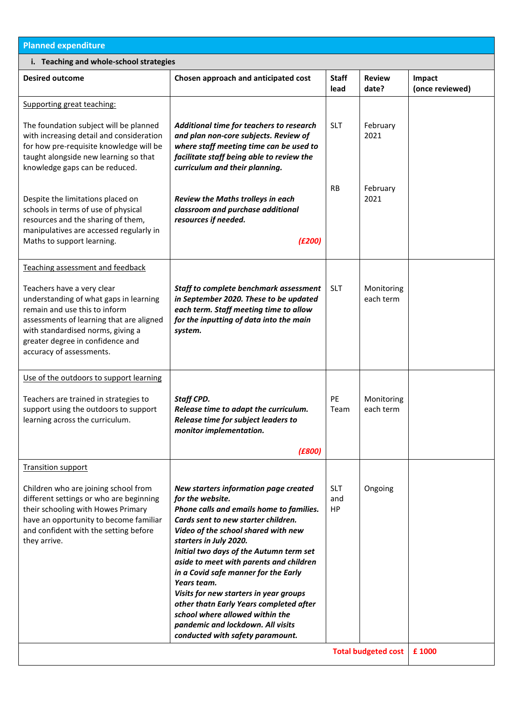| <b>Planned expenditure</b>                                                                                                                                                                                                                             |                                                                                                                                                                                                                                                                                                                                                                                                                                                                                                                                                             |                         |                                       |                           |  |  |  |  |
|--------------------------------------------------------------------------------------------------------------------------------------------------------------------------------------------------------------------------------------------------------|-------------------------------------------------------------------------------------------------------------------------------------------------------------------------------------------------------------------------------------------------------------------------------------------------------------------------------------------------------------------------------------------------------------------------------------------------------------------------------------------------------------------------------------------------------------|-------------------------|---------------------------------------|---------------------------|--|--|--|--|
| i. Teaching and whole-school strategies                                                                                                                                                                                                                |                                                                                                                                                                                                                                                                                                                                                                                                                                                                                                                                                             |                         |                                       |                           |  |  |  |  |
| <b>Desired outcome</b>                                                                                                                                                                                                                                 | Chosen approach and anticipated cost                                                                                                                                                                                                                                                                                                                                                                                                                                                                                                                        | <b>Staff</b><br>lead    | <b>Review</b><br>date?                | Impact<br>(once reviewed) |  |  |  |  |
| Supporting great teaching:                                                                                                                                                                                                                             |                                                                                                                                                                                                                                                                                                                                                                                                                                                                                                                                                             |                         |                                       |                           |  |  |  |  |
| The foundation subject will be planned<br>with increasing detail and consideration<br>for how pre-requisite knowledge will be<br>taught alongside new learning so that<br>knowledge gaps can be reduced.                                               | Additional time for teachers to research<br>and plan non-core subjects. Review of<br>where staff meeting time can be used to<br>facilitate staff being able to review the<br>curriculum and their planning.                                                                                                                                                                                                                                                                                                                                                 | <b>SLT</b>              | February<br>2021                      |                           |  |  |  |  |
| Despite the limitations placed on<br>schools in terms of use of physical<br>resources and the sharing of them,<br>manipulatives are accessed regularly in<br>Maths to support learning.                                                                | Review the Maths trolleys in each<br>classroom and purchase additional<br>resources if needed.<br>(E200)                                                                                                                                                                                                                                                                                                                                                                                                                                                    | <b>RB</b>               | February<br>2021                      |                           |  |  |  |  |
| Teaching assessment and feedback                                                                                                                                                                                                                       |                                                                                                                                                                                                                                                                                                                                                                                                                                                                                                                                                             |                         |                                       |                           |  |  |  |  |
| Teachers have a very clear<br>understanding of what gaps in learning<br>remain and use this to inform<br>assessments of learning that are aligned<br>with standardised norms, giving a<br>greater degree in confidence and<br>accuracy of assessments. | Staff to complete benchmark assessment<br>in September 2020. These to be updated<br>each term. Staff meeting time to allow<br>for the inputting of data into the main<br>system.                                                                                                                                                                                                                                                                                                                                                                            | <b>SLT</b>              | Monitoring<br>each term               |                           |  |  |  |  |
| Use of the outdoors to support learning                                                                                                                                                                                                                |                                                                                                                                                                                                                                                                                                                                                                                                                                                                                                                                                             |                         |                                       |                           |  |  |  |  |
| Teachers are trained in strategies to<br>support using the outdoors to support<br>learning across the curriculum.                                                                                                                                      | <b>Staff CPD.</b><br>Release time to adapt the curriculum.<br>Release time for subject leaders to<br>monitor implementation.<br>(E800)                                                                                                                                                                                                                                                                                                                                                                                                                      | PE<br>Team              | Monitoring<br>each term               |                           |  |  |  |  |
| <b>Transition support</b>                                                                                                                                                                                                                              |                                                                                                                                                                                                                                                                                                                                                                                                                                                                                                                                                             |                         |                                       |                           |  |  |  |  |
| Children who are joining school from<br>different settings or who are beginning<br>their schooling with Howes Primary<br>have an opportunity to become familiar<br>and confident with the setting before<br>they arrive.                               | New starters information page created<br>for the website.<br>Phone calls and emails home to families.<br>Cards sent to new starter children.<br>Video of the school shared with new<br>starters in July 2020.<br>Initial two days of the Autumn term set<br>aside to meet with parents and children<br>in a Covid safe manner for the Early<br>Years team.<br>Visits for new starters in year groups<br>other thatn Early Years completed after<br>school where allowed within the<br>pandemic and lockdown. All visits<br>conducted with safety paramount. | <b>SLT</b><br>and<br>HP | Ongoing<br><b>Total budgeted cost</b> |                           |  |  |  |  |
|                                                                                                                                                                                                                                                        | £ 1000                                                                                                                                                                                                                                                                                                                                                                                                                                                                                                                                                      |                         |                                       |                           |  |  |  |  |